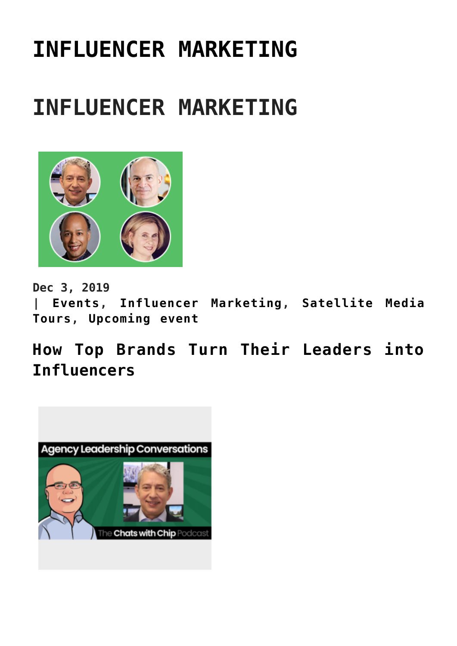# **[INFLUENCER MARKETING](https://www.commpro.biz/influencer-marketing/)**

## **INFLUENCER MARKETING**



**Dec 3, 2019 | [Events](https://www.commpro.biz/./events/), [Influencer Marketing,](https://www.commpro.biz/./influencer-marketing/) [Satellite Media](https://www.commpro.biz/./satellite-media-tours/) [Tours](https://www.commpro.biz/./satellite-media-tours/), [Upcoming event](https://www.commpro.biz/./upcoming-event/)**

**[How Top Brands Turn Their Leaders into](https://www.commpro.biz/how-top-brands-turn-their-leaders-into-influencers/) [Influencers](https://www.commpro.biz/how-top-brands-turn-their-leaders-into-influencers/)**

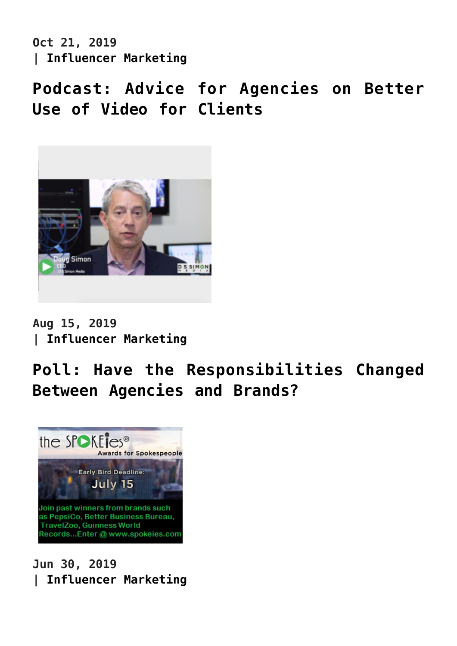**Oct 21, 2019 | [Influencer Marketing](https://www.commpro.biz/./influencer-marketing/)**

**[Podcast: Advice for Agencies on Better](https://www.commpro.biz/podcast-advice-for-agencies-on-better-use-of-video-for-clients/) [Use of Video for Clients](https://www.commpro.biz/podcast-advice-for-agencies-on-better-use-of-video-for-clients/)**



**Aug 15, 2019 | [Influencer Marketing](https://www.commpro.biz/./influencer-marketing/)**

## **[Poll: Have the Responsibilities Changed](https://www.commpro.biz/poll-have-the-responsibilities-changed-between-agencies-and-brands/) [Between Agencies and Brands?](https://www.commpro.biz/poll-have-the-responsibilities-changed-between-agencies-and-brands/)**



**Jun 30, 2019 | [Influencer Marketing](https://www.commpro.biz/./influencer-marketing/)**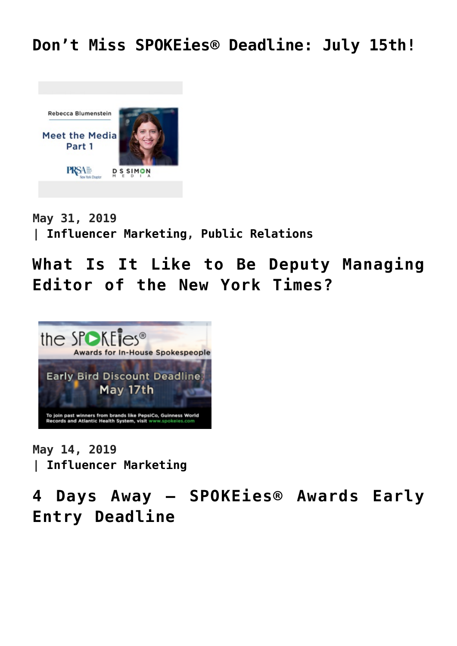

**May 31, 2019 | [Influencer Marketing,](https://www.commpro.biz/./influencer-marketing/) [Public Relations](https://www.commpro.biz/./public-relations-section/)**

**[What Is It Like to Be Deputy Managing](https://www.commpro.biz/what-is-it-like-to-be-deputy-managing-editor-of-the-new-york-times/) [Editor of the New York Times?](https://www.commpro.biz/what-is-it-like-to-be-deputy-managing-editor-of-the-new-york-times/)**



**May 14, 2019 | [Influencer Marketing](https://www.commpro.biz/./influencer-marketing/)**

**[4 Days Away – SPOKEies® Awards Early](https://www.commpro.biz/3-days-away-spokeies-awards-early-entry-deadline/) [Entry Deadline](https://www.commpro.biz/3-days-away-spokeies-awards-early-entry-deadline/)**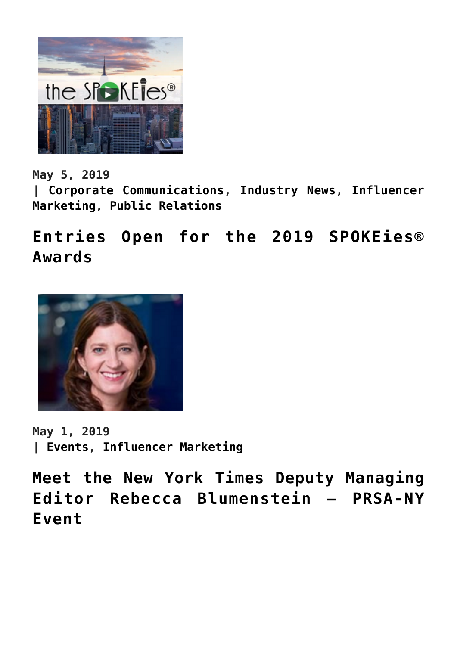

**May 5, 2019**

**| [Corporate Communications](https://www.commpro.biz/./corporate-communications-section/), [Industry News,](https://www.commpro.biz/./industry-news/) [Influencer](https://www.commpro.biz/./influencer-marketing/) [Marketing,](https://www.commpro.biz/./influencer-marketing/) [Public Relations](https://www.commpro.biz/./public-relations-section/)**

**[Entries Open for the 2019 SPOKEies®](https://www.commpro.biz/entries-open-for-the-2019-spokeies-awards/) [Awards](https://www.commpro.biz/entries-open-for-the-2019-spokeies-awards/)**



**May 1, 2019 | [Events,](https://www.commpro.biz/./events/) [Influencer Marketing](https://www.commpro.biz/./influencer-marketing/)**

**[Meet the New York Times Deputy Managing](https://www.commpro.biz/meet-the-new-york-times-deputy-managing-editor-rebecca-blumenstein-prsa-ny-event/) [Editor Rebecca Blumenstein – PRSA-NY](https://www.commpro.biz/meet-the-new-york-times-deputy-managing-editor-rebecca-blumenstein-prsa-ny-event/) [Event](https://www.commpro.biz/meet-the-new-york-times-deputy-managing-editor-rebecca-blumenstein-prsa-ny-event/)**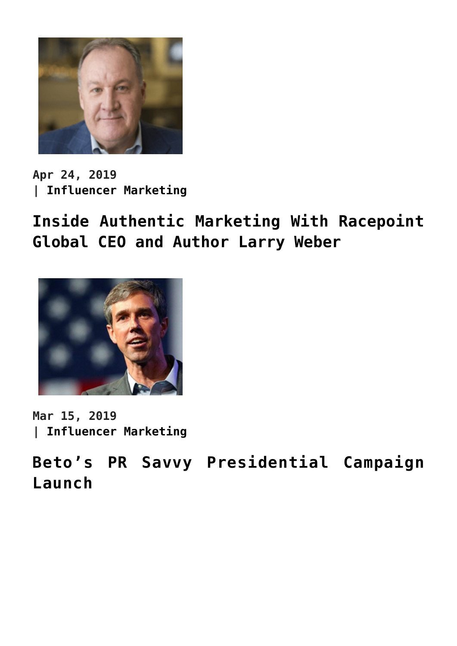

**Apr 24, 2019 | [Influencer Marketing](https://www.commpro.biz/./influencer-marketing/)**

**[Inside Authentic Marketing With Racepoint](https://www.commpro.biz/inside-authentic-marketing-with-racepoint-global-ceo-and-author-larry-weber/) [Global CEO and Author Larry Weber](https://www.commpro.biz/inside-authentic-marketing-with-racepoint-global-ceo-and-author-larry-weber/)**



**Mar 15, 2019 | [Influencer Marketing](https://www.commpro.biz/./influencer-marketing/)**

**[Beto's PR Savvy Presidential Campaign](https://www.commpro.biz/betos-pr-savvy-presidential-campaign-launch/) [Launch](https://www.commpro.biz/betos-pr-savvy-presidential-campaign-launch/)**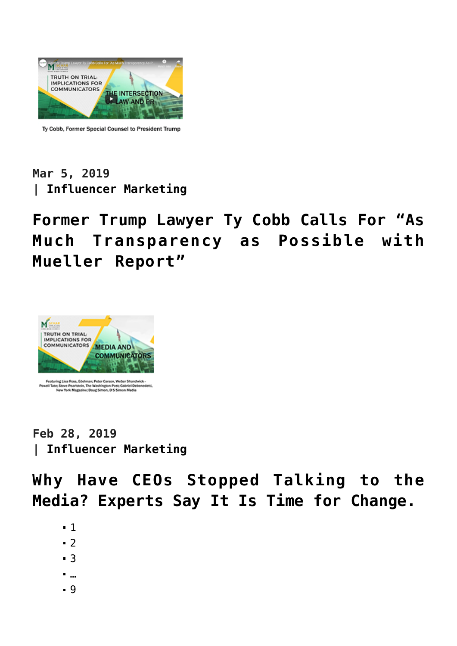

Ty Cobb, Former Special Counsel to President Trump

### **Mar 5, 2019 | [Influencer Marketing](https://www.commpro.biz/./influencer-marketing/)**

## **[Former Trump Lawyer Ty Cobb Calls For "As](https://www.commpro.biz/former-trump-lawyer-ty-cobb-calls-for-as-much-transparency-as-possible-with-mueller-report/) [Much Transparency as Possible with](https://www.commpro.biz/former-trump-lawyer-ty-cobb-calls-for-as-much-transparency-as-possible-with-mueller-report/) [Mueller Report"](https://www.commpro.biz/former-trump-lawyer-ty-cobb-calls-for-as-much-transparency-as-possible-with-mueller-report/)**



**Feb 28, 2019 | [Influencer Marketing](https://www.commpro.biz/./influencer-marketing/)**

**[Why Have CEOs Stopped Talking to the](https://www.commpro.biz/why-have-ceos-stopped-talking-to-the-media-experts-say-it-is-time-for-change/) [Media? Experts Say It Is Time for Change.](https://www.commpro.biz/why-have-ceos-stopped-talking-to-the-media-experts-say-it-is-time-for-change/)**

- 1
- $-2$  $-2$
- [3](https://www.commpro.biz/influencer-marketing/?fl_builderpage/3/&fl_builder)
- …
- [9](https://www.commpro.biz/influencer-marketing/?fl_builderpage/9/&fl_builder)